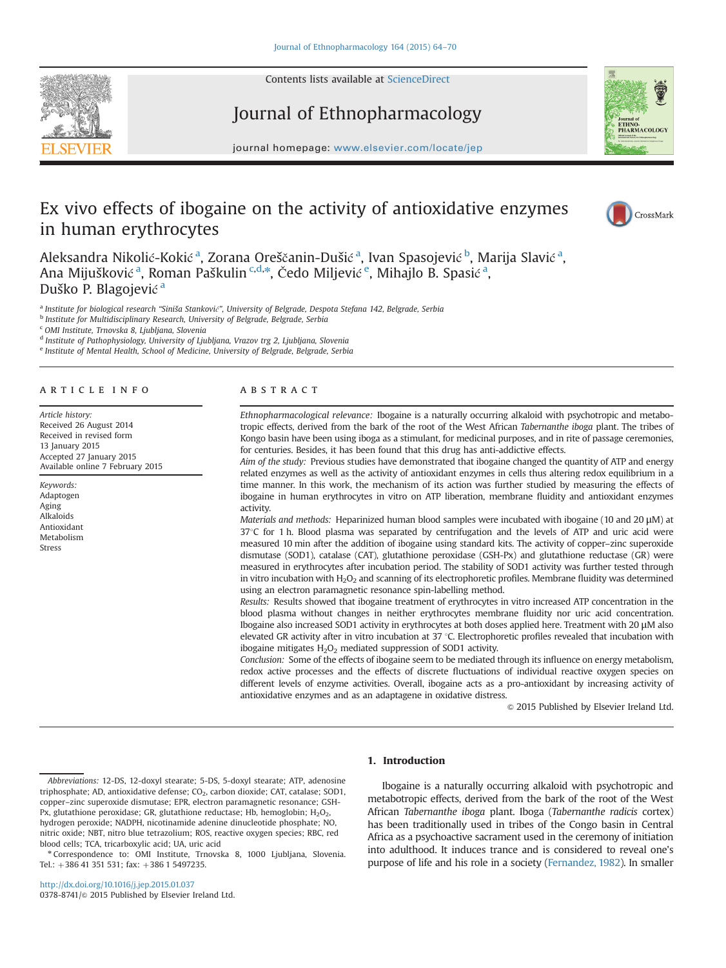Contents lists available at [ScienceDirect](www.sciencedirect.com/science/journal/03788741)





journal homepage: <www.elsevier.com/locate/jep>per.com/locate/jepper.com/locate/jepper.com/locate/jepper.com/locate/jepper.com/locate/jepper.com/locate/jepper.com/locate/jepper.com/locate/jepper.com/locate/jepper.com/locate Journal of Ethnopharmacology

# Ex vivo effects of ibogaine on the activity of antioxidative enzymes in human erythrocytes



Aleksandra Nikolić-Kokić <sup>a</sup>, Zorana Oreščanin-Dušić <sup>a</sup>, Ivan Spasojević <sup>b</sup>, Marija Slavić <sup>a</sup>, Ana Mijušković <sup>a</sup>, Roman Paškulin <sup>c,d,</sup>\*, Čedo Miljević <sup>e</sup>, Mihajlo B. Spasić <sup>a</sup>, Duško P. Blagojević <sup>a</sup>

a Institute for biological research "Siniša Stanković", University of Belgrade, Despota Stefana 142, Belgrade, Serbia

**b** Institute for Multidisciplinary Research, University of Belgrade, Belgrade, Serbia

<sup>c</sup> OMI Institute, Trnovska 8, Ljubljana, Slovenia

<sup>d</sup> Institute of Pathophysiology, University of Ljubljana, Vrazov trg 2, Ljubljana, Slovenia

<sup>e</sup> Institute of Mental Health, School of Medicine, University of Belgrade, Belgrade, Serbia

#### article info

Article history: Received 26 August 2014 Received in revised form 13 January 2015 Accepted 27 January 2015 Available online 7 February 2015

Keywords: Adaptogen Aging Alkaloids Antioxidant Metabolism Stress

# ABSTRACT

Ethnopharmacological relevance: Ibogaine is a naturally occurring alkaloid with psychotropic and metabotropic effects, derived from the bark of the root of the West African Tabernanthe iboga plant. The tribes of Kongo basin have been using iboga as a stimulant, for medicinal purposes, and in rite of passage ceremonies, for centuries. Besides, it has been found that this drug has anti-addictive effects.

Aim of the study: Previous studies have demonstrated that ibogaine changed the quantity of ATP and energy related enzymes as well as the activity of antioxidant enzymes in cells thus altering redox equilibrium in a time manner. In this work, the mechanism of its action was further studied by measuring the effects of ibogaine in human erythrocytes in vitro on ATP liberation, membrane fluidity and antioxidant enzymes activity.

Materials and methods: Heparinized human blood samples were incubated with ibogaine (10 and 20 μM) at  $37^{\circ}$ C for 1 h. Blood plasma was separated by centrifugation and the levels of ATP and uric acid were measured 10 min after the addition of ibogaine using standard kits. The activity of copper–zinc superoxide dismutase (SOD1), catalase (CAT), glutathione peroxidase (GSH-Px) and glutathione reductase (GR) were measured in erythrocytes after incubation period. The stability of SOD1 activity was further tested through in vitro incubation with  $H_2O_2$  and scanning of its electrophoretic profiles. Membrane fluidity was determined using an electron paramagnetic resonance spin-labelling method.

Results: Results showed that ibogaine treatment of erythrocytes in vitro increased ATP concentration in the blood plasma without changes in neither erythrocytes membrane fluidity nor uric acid concentration. Ibogaine also increased SOD1 activity in erythrocytes at both doses applied here. Treatment with 20 μM also elevated GR activity after in vitro incubation at 37 °C. Electrophoretic profiles revealed that incubation with ibogaine mitigates  $H_2O_2$  mediated suppression of SOD1 activity.

Conclusion: Some of the effects of ibogaine seem to be mediated through its influence on energy metabolism, redox active processes and the effects of discrete fluctuations of individual reactive oxygen species on different levels of enzyme activities. Overall, ibogaine acts as a pro-antioxidant by increasing activity of antioxidative enzymes and as an adaptagene in oxidative distress.

 $@$  2015 Published by Elsevier Ireland Ltd.

Abbreviations: 12-DS, 12-doxyl stearate; 5-DS, 5-doxyl stearate; ATP, adenosine triphosphate; AD, antioxidative defense; CO<sub>2</sub>, carbon dioxide; CAT, catalase; SOD1, copper–zinc superoxide dismutase; EPR, electron paramagnetic resonance; GSH-Px, glutathione peroxidase; GR, glutathione reductase; Hb, hemoglobin;  $H_2O_2$ , hydrogen peroxide; NADPH, nicotinamide adenine dinucleotide phosphate; NO, nitric oxide; NBT, nitro blue tetrazolium; ROS, reactive oxygen species; RBC, red blood cells; TCA, tricarboxylic acid; UA, uric acid

<sup>n</sup> Correspondence to: OMI Institute, Trnovska 8, 1000 Ljubljana, Slovenia. Tel.: +386 41 351 531; fax: +386 1 5497235.

# 1. Introduction

Ibogaine is a naturally occurring alkaloid with psychotropic and metabotropic effects, derived from the bark of the root of the West African Tabernanthe iboga plant. Iboga (Tabernanthe radicis cortex) has been traditionally used in tribes of the Congo basin in Central Africa as a psychoactive sacrament used in the ceremony of initiation into adulthood. It induces trance and is considered to reveal one's purpose of life and his role in a society ([Fernandez, 1982\)](#page-5-0). In smaller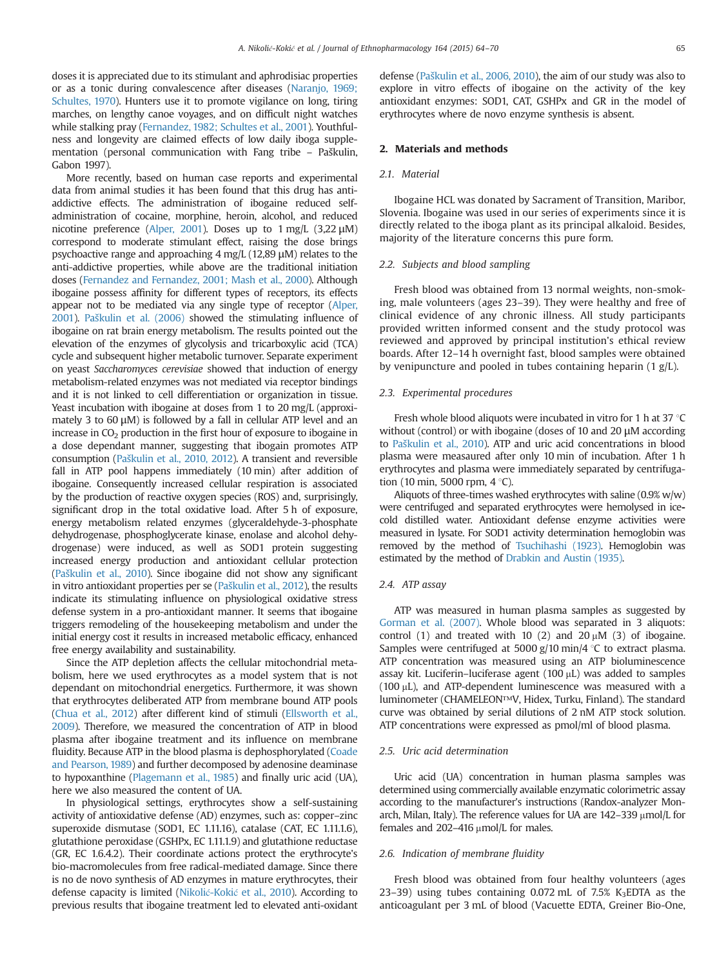doses it is appreciated due to its stimulant and aphrodisiac properties or as a tonic during convalescence after diseases ([Naranjo, 1969;](#page-6-0) [Schultes, 1970\)](#page-6-0). Hunters use it to promote vigilance on long, tiring marches, on lengthy canoe voyages, and on difficult night watches while stalking pray [\(Fernandez, 1982; Schultes et al., 2001\)](#page-6-0). Youthfulness and longevity are claimed effects of low daily iboga supplementation (personal communication with Fang tribe – Paškulin, Gabon 1997).

More recently, based on human case reports and experimental data from animal studies it has been found that this drug has antiaddictive effects. The administration of ibogaine reduced selfadministration of cocaine, morphine, heroin, alcohol, and reduced nicotine preference [\(Alper, 2001](#page-5-0)). Doses up to 1 mg/L (3,22 μM) correspond to moderate stimulant effect, raising the dose brings psychoactive range and approaching 4 mg/L (12,89 μM) relates to the anti-addictive properties, while above are the traditional initiation doses [\(Fernandez and Fernandez, 2001; Mash et al., 2000\)](#page-5-0). Although ibogaine possess affinity for different types of receptors, its effects appear not to be mediated via any single type of receptor ([Alper,](#page-5-0) [2001\)](#page-5-0). Paš[kulin et al. \(2006\)](#page-6-0) showed the stimulating influence of ibogaine on rat brain energy metabolism. The results pointed out the elevation of the enzymes of glycolysis and tricarboxylic acid (TCA) cycle and subsequent higher metabolic turnover. Separate experiment on yeast Saccharomyces cerevisiae showed that induction of energy metabolism-related enzymes was not mediated via receptor bindings and it is not linked to cell differentiation or organization in tissue. Yeast incubation with ibogaine at doses from 1 to 20 mg/L (approximately 3 to 60 μM) is followed by a fall in cellular ATP level and an increase in  $CO<sub>2</sub>$  production in the first hour of exposure to ibogaine in a dose dependant manner, suggesting that ibogain promotes ATP consumption (Paš[kulin et al., 2010, 2012\)](#page-6-0). A transient and reversible fall in ATP pool happens immediately (10 min) after addition of ibogaine. Consequently increased cellular respiration is associated by the production of reactive oxygen species (ROS) and, surprisingly, significant drop in the total oxidative load. After 5 h of exposure, energy metabolism related enzymes (glyceraldehyde-3-phosphate dehydrogenase, phosphoglycerate kinase, enolase and alcohol dehydrogenase) were induced, as well as SOD1 protein suggesting increased energy production and antioxidant cellular protection (Paš[kulin et al., 2010\)](#page-6-0). Since ibogaine did not show any significant in vitro antioxidant properties per se (Paš[kulin et al., 2012](#page-6-0)), the results indicate its stimulating influence on physiological oxidative stress defense system in a pro-antioxidant manner. It seems that ibogaine triggers remodeling of the housekeeping metabolism and under the initial energy cost it results in increased metabolic efficacy, enhanced free energy availability and sustainability.

Since the ATP depletion affects the cellular mitochondrial metabolism, here we used erythrocytes as a model system that is not dependant on mitochondrial energetics. Furthermore, it was shown that erythrocytes deliberated ATP from membrane bound ATP pools [\(Chua et al., 2012\)](#page-5-0) after different kind of stimuli [\(Ellsworth et al.,](#page-5-0) [2009](#page-5-0)). Therefore, we measured the concentration of ATP in blood plasma after ibogaine treatment and its influence on membrane fluidity. Because ATP in the blood plasma is dephosphorylated [\(Coade](#page-5-0) [and Pearson, 1989](#page-5-0)) and further decomposed by adenosine deaminase to hypoxanthine [\(Plagemann et al., 1985](#page-6-0)) and finally uric acid (UA), here we also measured the content of UA.

In physiological settings, erythrocytes show a self-sustaining activity of antioxidative defense (AD) enzymes, such as: copper–zinc superoxide dismutase (SOD1, EC 1.11.16), catalase (CAT, EC 1.11.1.6), glutathione peroxidase (GSHPx, EC 1.11.1.9) and glutathione reductase (GR, EC 1.6.4.2). Their coordinate actions protect the erythrocyte's bio-macromolecules from free radical-mediated damage. Since there is no de novo synthesis of AD enzymes in mature erythrocytes, their defense capacity is limited (Nikolić-Kokić [et al., 2010\)](#page-6-0). According to previous results that ibogaine treatment led to elevated anti-oxidant defense (Paš[kulin et al., 2006, 2010\)](#page-6-0), the aim of our study was also to explore in vitro effects of ibogaine on the activity of the key antioxidant enzymes: SOD1, CAT, GSHPx and GR in the model of erythrocytes where de novo enzyme synthesis is absent.

# 2. Materials and methods

### 2.1. Material

Ibogaine HCL was donated by Sacrament of Transition, Maribor, Slovenia. Ibogaine was used in our series of experiments since it is directly related to the iboga plant as its principal alkaloid. Besides, majority of the literature concerns this pure form.

#### 2.2. Subjects and blood sampling

Fresh blood was obtained from 13 normal weights, non-smoking, male volunteers (ages 23–39). They were healthy and free of clinical evidence of any chronic illness. All study participants provided written informed consent and the study protocol was reviewed and approved by principal institution's ethical review boards. After 12–14 h overnight fast, blood samples were obtained by venipuncture and pooled in tubes containing heparin  $(1 g/L)$ .

### 2.3. Experimental procedures

Fresh whole blood aliquots were incubated in vitro for 1 h at 37  $\degree$ C without (control) or with ibogaine (doses of 10 and 20 μM according to Paš[kulin et al., 2010\)](#page-6-0). ATP and uric acid concentrations in blood plasma were measaured after only 10 min of incubation. After 1 h erythrocytes and plasma were immediately separated by centrifugation (10 min, 5000 rpm,  $4^{\circ}$ C).

Aliquots of three-times washed erythrocytes with saline  $(0.9\% \text{ w/w})$ were centrifuged and separated erythrocytes were hemolysed in icecold distilled water. Antioxidant defense enzyme activities were measured in lysate. For SOD1 activity determination hemoglobin was removed by the method of [Tsuchihashi \(1923\).](#page-6-0) Hemoglobin was estimated by the method of [Drabkin and Austin \(1935\).](#page-5-0)

#### 2.4. ATP assay

ATP was measured in human plasma samples as suggested by [Gorman et al. \(2007\)](#page-5-0). Whole blood was separated in 3 aliquots: control (1) and treated with 10 (2) and  $20 \mu M$  (3) of ibogaine. Samples were centrifuged at 5000  $g/10$  min/4 °C to extract plasma. ATP concentration was measured using an ATP bioluminescence assay kit. Luciferin–luciferase agent  $(100 \mu L)$  was added to samples  $(100 \mu L)$ , and ATP-dependent luminescence was measured with a luminometer (CHAMELEON™V, Hidex, Turku, Finland). The standard curve was obtained by serial dilutions of 2 nM ATP stock solution. ATP concentrations were expressed as pmol/ml of blood plasma.

#### 2.5. Uric acid determination

Uric acid (UA) concentration in human plasma samples was determined using commercially available enzymatic colorimetric assay according to the manufacturer's instructions (Randox-analyzer Monarch, Milan, Italy). The reference values for UA are  $142-339 \mu$ mol/L for females and 202-416  $\mu$ mol/L for males.

#### 2.6. Indication of membrane fluidity

Fresh blood was obtained from four healthy volunteers (ages 23–39) using tubes containing 0.072 mL of 7.5%  $K_3$ EDTA as the anticoagulant per 3 mL of blood (Vacuette EDTA, Greiner Bio-One,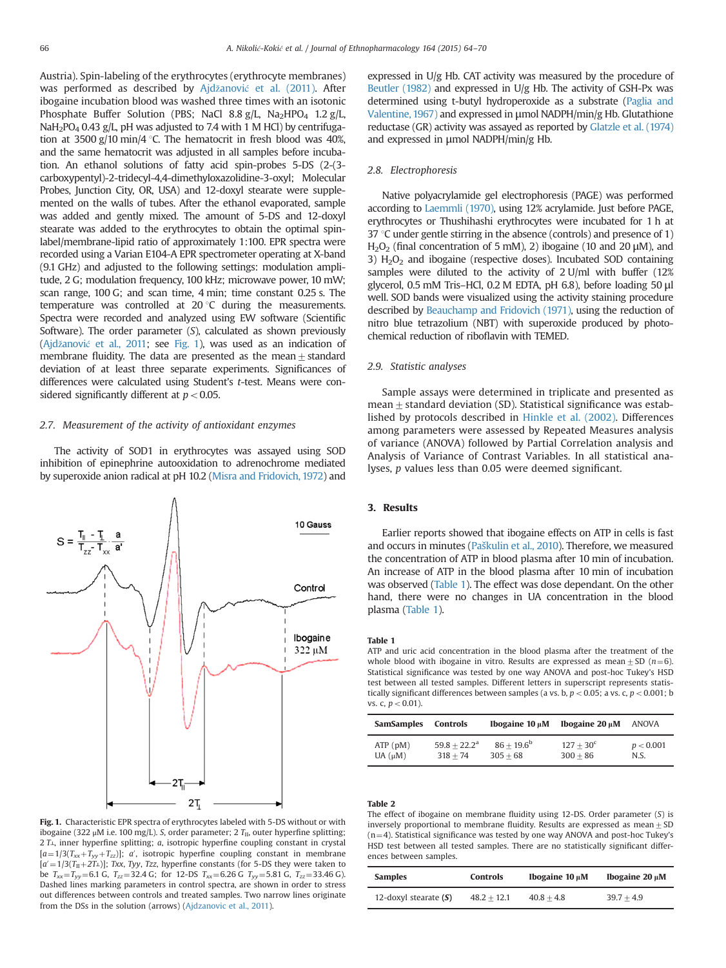<span id="page-2-0"></span>Austria). Spin-labeling of the erythrocytes (erythrocyte membranes) was performed as described by Ajdžanović [et al. \(2011\)](#page-5-0). After ibogaine incubation blood was washed three times with an isotonic Phosphate Buffer Solution (PBS; NaCl 8.8 g/L, Na<sub>2</sub>HPO<sub>4</sub> 1.2 g/L, NaH<sub>2</sub>PO<sub>4</sub> 0.43 g/L, pH was adjusted to 7.4 with 1 M HCl) by centrifugation at 3500 g/10 min/4 °C. The hematocrit in fresh blood was 40%, and the same hematocrit was adjusted in all samples before incubation. An ethanol solutions of fatty acid spin-probes 5-DS (2-(3 carboxypentyl)-2-tridecyl-4,4-dimethyloxazolidine-3-oxyl; Molecular Probes, Junction City, OR, USA) and 12-doxyl stearate were supplemented on the walls of tubes. After the ethanol evaporated, sample was added and gently mixed. The amount of 5-DS and 12-doxyl stearate was added to the erythrocytes to obtain the optimal spinlabel/membrane-lipid ratio of approximately 1:100. EPR spectra were recorded using a Varian E104-A EPR spectrometer operating at X-band (9.1 GHz) and adjusted to the following settings: modulation amplitude, 2 G; modulation frequency, 100 kHz; microwave power, 10 mW; scan range, 100 G; and scan time, 4 min; time constant 0.25 s. The temperature was controlled at  $20^{\circ}$ C during the measurements. Spectra were recorded and analyzed using EW software (Scientific Software). The order parameter (S), calculated as shown previously (Ajdžanović [et al., 2011](#page-5-0); see Fig. 1), was used as an indication of membrane fluidity. The data are presented as the mean  $\pm$  standard deviation of at least three separate experiments. Significances of differences were calculated using Student's t-test. Means were considered significantly different at  $p < 0.05$ .

#### 2.7. Measurement of the activity of antioxidant enzymes

The activity of SOD1 in erythrocytes was assayed using SOD inhibition of epinephrine autooxidation to adrenochrome mediated by superoxide anion radical at pH 10.2 [\(Misra and Fridovich, 1972](#page-5-0)) and



Fig. 1. Characteristic EPR spectra of erythrocytes labeled with 5-DS without or with ibogaine (322 μM i.e. 100 mg/L). S, order parameter; 2  $T_{\text{II}}$ , outer hyperfine splitting;  $2 T<sub>⊥</sub>$ , inner hyperfine splitting; a, isotropic hyperfine coupling constant in crystal  $[a=1/3(T<sub>xx</sub>+T<sub>yy</sub>+T<sub>zz</sub>)]$ ; a', isotropic hyperfine coupling constant in membrane  $[a'=1/3(T<sub>II</sub>+2T<sub>⊥</sub>)]$ ; Txx, Tyy, Tzz, hyperfine constants (for 5-DS they were taken to be  $T_{xx} = T_{yy} = 6.1$  G,  $T_{zz} = 32.4$  G; for 12-DS  $T_{xx} = 6.26$  G  $T_{yy} = 5.81$  G,  $T_{zz} = 33.46$  G). Dashed lines marking parameters in control spectra, are shown in order to stress out differences between controls and treated samples. Two narrow lines originate from the DSs in the solution (arrows) [\(Ajdzanovic et al., 2011\)](#page-5-0).

expressed in U/g Hb. CAT activity was measured by the procedure of [Beutler \(1982\)](#page-5-0) and expressed in U/g Hb. The activity of GSH-Px was determined using t-butyl hydroperoxide as a substrate [\(Paglia and](#page-6-0) [Valentine, 1967\)](#page-6-0) and expressed in μmol NADPH/min/g Hb. Glutathione reductase (GR) activity was assayed as reported by [Glatzle et al. \(1974\)](#page-5-0) and expressed in μmol NADPH/min/g Hb.

### 2.8. Electrophoresis

Native polyacrylamide gel electrophoresis (PAGE) was performed according to [Laemmli \(1970\)](#page-5-0), using 12% acrylamide. Just before PAGE, erythrocytes or Thushihashi erythrocytes were incubated for 1 h at 37  $\degree$ C under gentle stirring in the absence (controls) and presence of 1) H<sub>2</sub>O<sub>2</sub> (final concentration of 5 mM), 2) ibogaine (10 and 20 μM), and 3)  $H<sub>2</sub>O<sub>2</sub>$  and ibogaine (respective doses). Incubated SOD containing samples were diluted to the activity of 2 U/ml with buffer (12% glycerol, 0.5 mM Tris–HCl, 0.2 M EDTA, pH 6.8), before loading 50 μl well. SOD bands were visualized using the activity staining procedure described by [Beauchamp and Fridovich \(1971\)](#page-5-0), using the reduction of nitro blue tetrazolium (NBT) with superoxide produced by photochemical reduction of riboflavin with TEMED.

#### 2.9. Statistic analyses

Sample assays were determined in triplicate and presented as mean  $\pm$  standard deviation (SD). Statistical significance was established by protocols described in [Hinkle et al. \(2002\)](#page-5-0). Differences among parameters were assessed by Repeated Measures analysis of variance (ANOVA) followed by Partial Correlation analysis and Analysis of Variance of Contrast Variables. In all statistical analyses, p values less than 0.05 were deemed significant.

# 3. Results

Earlier reports showed that ibogaine effects on ATP in cells is fast and occurs in minutes (Paš[kulin et al., 2010](#page-6-0)). Therefore, we measured the concentration of ATP in blood plasma after 10 min of incubation. An increase of ATP in the blood plasma after 10 min of incubation was observed (Table 1). The effect was dose dependant. On the other hand, there were no changes in UA concentration in the blood plasma (Table 1).

#### Table 1

ATP and uric acid concentration in the blood plasma after the treatment of the whole blood with ibogaine in vitro. Results are expressed as mean + SD ( $n=6$ ). Statistical significance was tested by one way ANOVA and post-hoc Tukey's HSD test between all tested samples. Different letters in superscript represents statistically significant differences between samples (a vs. b,  $p < 0.05$ ; a vs. c,  $p < 0.001$ ; b vs. c,  $p < 0.01$ ).

| <b>SamSamples</b> | <b>Controls</b>       | Ibogaine $10 \mu M$ | Ibogaine $20 \mu M$ | <b>ANOVA</b> |
|-------------------|-----------------------|---------------------|---------------------|--------------|
| ATP(pM)           | $59.8 + 22.2^{\rm a}$ | $86 + 19.6^b$       | $127 + 30^{\circ}$  | p < 0.001    |
| $UA(\mu M)$       | $318 + 74$            | $305 + 68$          | $300 + 86$          | N.S.         |

# Table 2

The effect of ibogaine on membrane fluidity using  $12$ -DS. Order parameter  $(S)$  is inversely proportional to membrane fluidity. Results are expressed as mean  $\pm$  SD  $(n=4)$ . Statistical significance was tested by one way ANOVA and post-hoc Tukey's HSD test between all tested samples. There are no statistically significant differences between samples.

| <b>Samples</b>          | <b>Controls</b> | Ibogaine $10 \mu M$ | Ibogaine $20 \mu M$ |
|-------------------------|-----------------|---------------------|---------------------|
| 12-doxyl stearate $(S)$ | $48.2 + 12.1$   | $40.8 + 4.8$        | $39.7 + 4.9$        |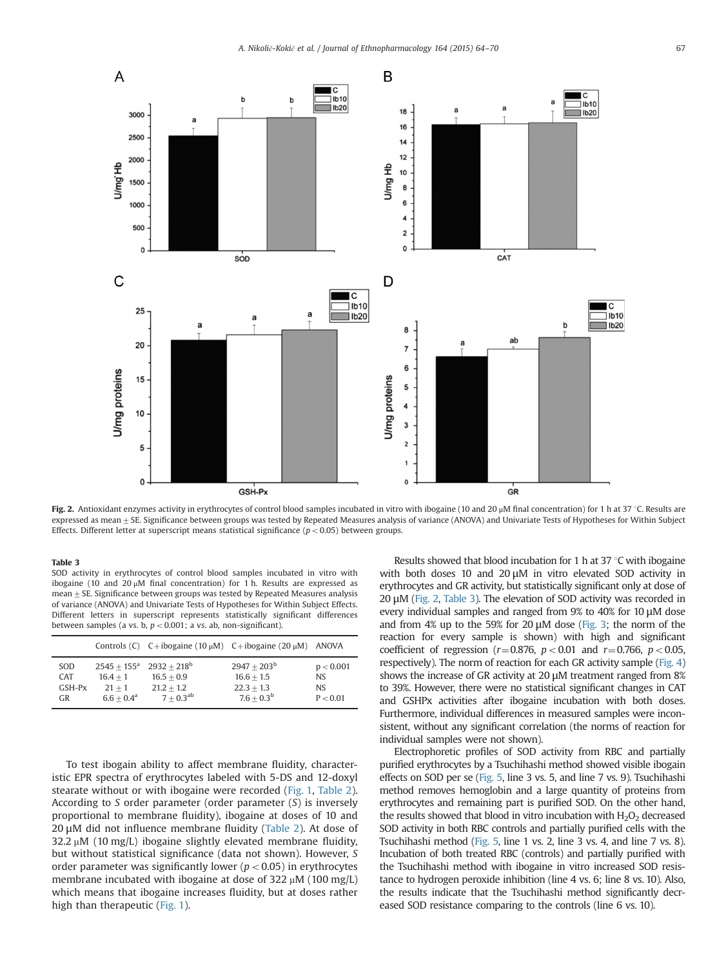

Fig. 2. Antioxidant enzymes activity in erythrocytes of control blood samples incubated in vitro with ibogaine (10 and 20 μM final concentration) for 1 h at 37 °C. Results are expressed as mean  $\pm$  SE. Significance between groups was tested by Repeated Measures analysis of variance (ANOVA) and Univariate Tests of Hypotheses for Within Subject Effects. Different letter at superscript means statistical significance ( $p < 0.05$ ) between groups.

#### Table 3

SOD activity in erythrocytes of control blood samples incubated in vitro with ibogaine (10 and 20 μM final concentration) for 1 h. Results are expressed as  $mean \pm SE$ . Significance between groups was tested by Repeated Measures analysis of variance (ANOVA) and Univariate Tests of Hypotheses for Within Subject Effects. Different letters in superscript represents statistically significant differences between samples (a vs. b,  $p < 0.001$ ; a vs. ab, non-significant).

|            |                      |                | Controls (C) $C + ibogaine (10 \mu M)$ $C + ibogaine (20 \mu M)$ ANOVA |           |
|------------|----------------------|----------------|------------------------------------------------------------------------|-----------|
| <b>SOD</b> | $2545 + 155^{\rm a}$ | $2932 + 218^b$ | $2947 + 203^b$                                                         | p < 0.001 |
| <b>CAT</b> | $16.4 + 1$           | $16.5 + 0.9$   | $16.6 + 1.5$                                                           | NS.       |
| GSH-Px     | $21 + 1$             | $21.2 + 1.2$   | $22.3 + 1.3$                                                           | NS.       |
| <b>GR</b>  | $6.6 + 0.4^a$        | $7 + 0.3^{ab}$ | $7.6 + 0.3^b$                                                          | P < 0.01  |

To test ibogain ability to affect membrane fluidity, characteristic EPR spectra of erythrocytes labeled with 5-DS and 12-doxyl stearate without or with ibogaine were recorded [\(Fig. 1](#page-2-0), [Table 2\)](#page-2-0). According to S order parameter (order parameter (S) is inversely proportional to membrane fluidity), ibogaine at doses of 10 and 20 μM did not influence membrane fluidity ([Table 2\)](#page-2-0). At dose of  $32.2 \mu M$  (10 mg/L) ibogaine slightly elevated membrane fluidity, but without statistical significance (data not shown). However, S order parameter was significantly lower ( $p < 0.05$ ) in erythrocytes membrane incubated with ibogaine at dose of 322  $\mu$ M (100 mg/L) which means that ibogaine increases fluidity, but at doses rather high than therapeutic [\(Fig. 1](#page-2-0)).

Results showed that blood incubation for 1 h at 37  $\degree$ C with ibogaine with both doses 10 and 20 μM in vitro elevated SOD activity in erythrocytes and GR activity, but statistically significant only at dose of 20 μM (Fig. 2, Table 3). The elevation of SOD activity was recorded in every individual samples and ranged from 9% to 40% for 10 μM dose and from 4% up to the 59% for 20  $\mu$ M dose ([Fig. 3](#page-4-0); the norm of the reaction for every sample is shown) with high and significant coefficient of regression ( $r=0.876$ ,  $p<0.01$  and  $r=0.766$ ,  $p<0.05$ , respectively). The norm of reaction for each GR activity sample [\(Fig. 4\)](#page-4-0) shows the increase of GR activity at 20 μM treatment ranged from 8% to 39%. However, there were no statistical significant changes in CAT and GSHPx activities after ibogaine incubation with both doses. Furthermore, individual differences in measured samples were inconsistent, without any significant correlation (the norms of reaction for individual samples were not shown).

Electrophoretic profiles of SOD activity from RBC and partially purified erythrocytes by a Tsuchihashi method showed visible ibogain effects on SOD per se [\(Fig. 5](#page-4-0), line 3 vs. 5, and line 7 vs. 9). Tsuchihashi method removes hemoglobin and a large quantity of proteins from erythrocytes and remaining part is purified SOD. On the other hand, the results showed that blood in vitro incubation with  $H_2O_2$  decreased SOD activity in both RBC controls and partially purified cells with the Tsuchihashi method ([Fig. 5,](#page-4-0) line 1 vs. 2, line 3 vs. 4, and line 7 vs. 8). Incubation of both treated RBC (controls) and partially purified with the Tsuchihashi method with ibogaine in vitro increased SOD resistance to hydrogen peroxide inhibition (line 4 vs. 6; line 8 vs. 10). Also, the results indicate that the Tsuchihashi method significantly decreased SOD resistance comparing to the controls (line 6 vs. 10).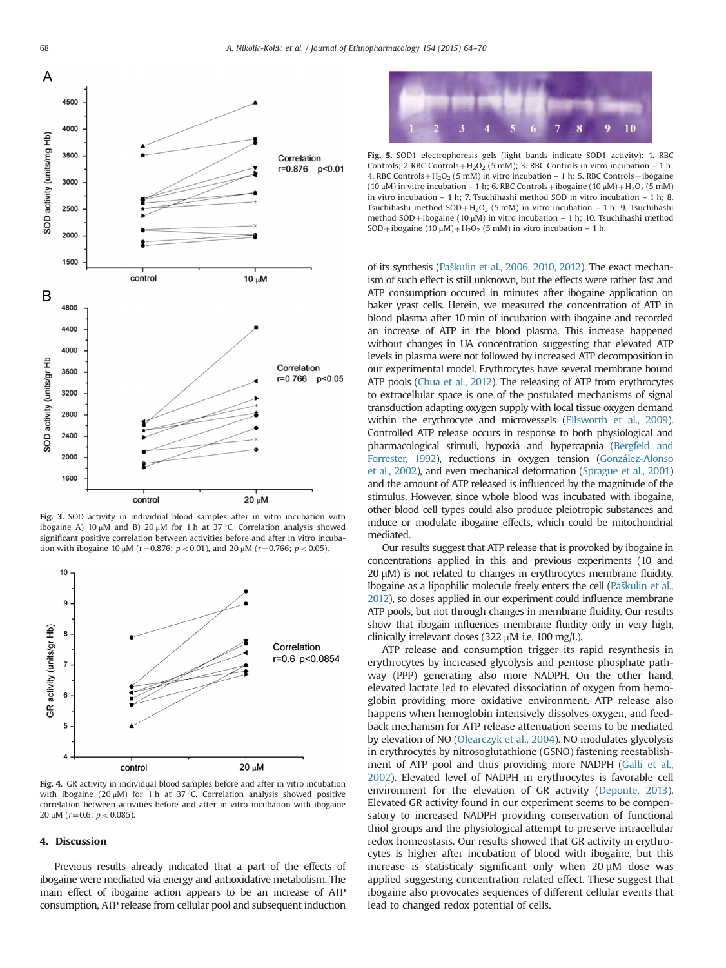<span id="page-4-0"></span>

Fig. 3. SOD activity in individual blood samples after in vitro incubation with ibogaine A) 10 μM and B) 20 μM for 1 h at 37 °C. Correlation analysis showed significant positive correlation between activities before and after in vitro incubation with ibogaine 10  $\mu$ M (r=0.876; p < 0.01), and 20  $\mu$ M (r=0.766; p < 0.05).



Fig. 4. GR activity in individual blood samples before and after in vitro incubation with ibogaine (20  $\mu$ M) for 1 h at 37 °C. Correlation analysis showed positive correlation between activities before and after in vitro incubation with ibogaine  $20 \mu M$  (r=0.6; p < 0.085).

### 4. Discussion

Previous results already indicated that a part of the effects of ibogaine were mediated via energy and antioxidative metabolism. The main effect of ibogaine action appears to be an increase of ATP consumption, ATP release from cellular pool and subsequent induction



Fig. 5. SOD1 electrophoresis gels (light bands indicate SOD1 activity): 1. RBC Controls; 2 RBC Controls +  $H_2O_2$  (5 mM); 3. RBC Controls in vitro incubation – 1 h; 4. RBC Controls +  $H_2O_2$  (5 mM) in vitro incubation – 1 h; 5. RBC Controls + ibogaine (10 μM) in vitro incubation – 1 h; 6. RBC Controls + ibogaine (10 μM) +  $H_2O_2$  (5 mM) in vitro incubation – 1 h; 7. Tsuchihashi method SOD in vitro incubation – 1 h; 8. Tsuchihashi method  $SOD + H<sub>2</sub>O<sub>2</sub>$  (5 mM) in vitro incubation – 1 h; 9. Tsuchihashi method SOD+ibogaine (10  $\mu$ M) in vitro incubation – 1 h; 10. Tsuchihashi method SOD+ibogaine (10  $\mu$ M)+H<sub>2</sub>O<sub>2</sub> (5 mM) in vitro incubation – 1 h.

of its synthesis (Paš[kulin et al., 2006, 2010, 2012\)](#page-6-0). The exact mechanism of such effect is still unknown, but the effects were rather fast and ATP consumption occured in minutes after ibogaine application on baker yeast cells. Herein, we measured the concentration of ATP in blood plasma after 10 min of incubation with ibogaine and recorded an increase of ATP in the blood plasma. This increase happened without changes in UA concentration suggesting that elevated ATP levels in plasma were not followed by increased ATP decomposition in our experimental model. Erythrocytes have several membrane bound ATP pools [\(Chua et al., 2012\)](#page-5-0). The releasing of ATP from erythrocytes to extracellular space is one of the postulated mechanisms of signal transduction adapting oxygen supply with local tissue oxygen demand within the erythrocyte and microvessels [\(Ellsworth et al., 2009](#page-5-0)). Controlled ATP release occurs in response to both physiological and pharmacological stimuli, hypoxia and hypercapnia [\(Bergfeld and](#page-5-0) [Forrester, 1992\)](#page-5-0), reductions in oxygen tension [\(González-Alonso](#page-5-0) [et al., 2002\)](#page-5-0), and even mechanical deformation [\(Sprague et al., 2001\)](#page-6-0) and the amount of ATP released is influenced by the magnitude of the stimulus. However, since whole blood was incubated with ibogaine, other blood cell types could also produce pleiotropic substances and induce or modulate ibogaine effects, which could be mitochondrial mediated.

Our results suggest that ATP release that is provoked by ibogaine in concentrations applied in this and previous experiments (10 and  $20 \mu$ M) is not related to changes in erythrocytes membrane fluidity. Ibogaine as a lipophilic molecule freely enters the cell (Paš[kulin et al.,](#page-6-0) [2012](#page-6-0)), so doses applied in our experiment could influence membrane ATP pools, but not through changes in membrane fluidity. Our results show that ibogain influences membrane fluidity only in very high, clinically irrelevant doses (322  $\mu$ M i.e. 100 mg/L).

ATP release and consumption trigger its rapid resynthesis in erythrocytes by increased glycolysis and pentose phosphate pathway (PPP) generating also more NADPH. On the other hand, elevated lactate led to elevated dissociation of oxygen from hemoglobin providing more oxidative environment. ATP release also happens when hemoglobin intensively dissolves oxygen, and feedback mechanism for ATP release attenuation seems to be mediated by elevation of NO ([Olearczyk et al., 2004](#page-6-0)). NO modulates glycolysis in erythrocytes by nitrosoglutathione (GSNO) fastening reestablishment of ATP pool and thus providing more NADPH ([Galli et al.,](#page-5-0) [2002\)](#page-5-0). Elevated level of NADPH in erythrocytes is favorable cell environment for the elevation of GR activity [\(Deponte, 2013\)](#page-5-0). Elevated GR activity found in our experiment seems to be compensatory to increased NADPH providing conservation of functional thiol groups and the physiological attempt to preserve intracellular redox homeostasis. Our results showed that GR activity in erythrocytes is higher after incubation of blood with ibogaine, but this increase is statisticaly significant only when 20 μM dose was applied suggesting concentration related effect. These suggest that ibogaine also provocates sequences of different cellular events that lead to changed redox potential of cells.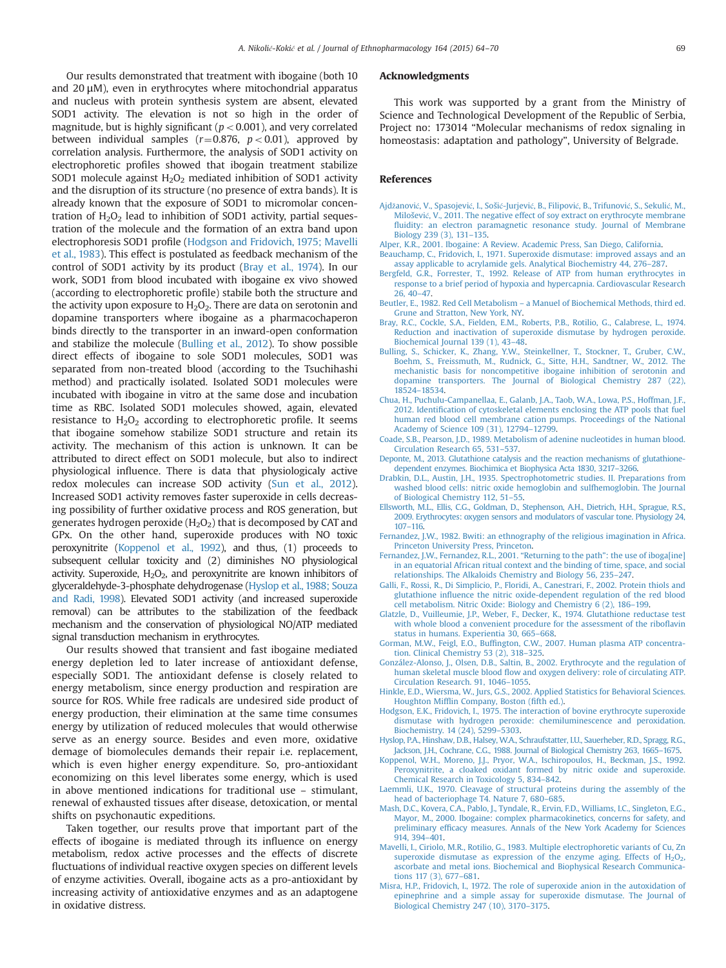<span id="page-5-0"></span>Our results demonstrated that treatment with ibogaine (both 10 and  $20 \mu$ M), even in erythrocytes where mitochondrial apparatus and nucleus with protein synthesis system are absent, elevated SOD1 activity. The elevation is not so high in the order of magnitude, but is highly significant ( $p < 0.001$ ), and very correlated between individual samples ( $r=0.876$ ,  $p<0.01$ ), approved by correlation analysis. Furthermore, the analysis of SOD1 activity on electrophoretic profiles showed that ibogain treatment stabilize SOD1 molecule against  $H_2O_2$  mediated inhibition of SOD1 activity and the disruption of its structure (no presence of extra bands). It is already known that the exposure of SOD1 to micromolar concentration of  $H_2O_2$  lead to inhibition of SOD1 activity, partial sequestration of the molecule and the formation of an extra band upon electrophoresis SOD1 profile (Hodgson and Fridovich, 1975; Mavelli et al., 1983). This effect is postulated as feedback mechanism of the control of SOD1 activity by its product (Bray et al., 1974). In our work, SOD1 from blood incubated with ibogaine ex vivo showed (according to electrophoretic profile) stabile both the structure and the activity upon exposure to  $H_2O_2$ . There are data on serotonin and dopamine transporters where ibogaine as a pharmacochaperon binds directly to the transporter in an inward-open conformation and stabilize the molecule (Bulling et al., 2012). To show possible direct effects of ibogaine to sole SOD1 molecules, SOD1 was separated from non-treated blood (according to the Tsuchihashi method) and practically isolated. Isolated SOD1 molecules were incubated with ibogaine in vitro at the same dose and incubation time as RBC. Isolated SOD1 molecules showed, again, elevated resistance to  $H_2O_2$  according to electrophoretic profile. It seems that ibogaine somehow stabilize SOD1 structure and retain its activity. The mechanism of this action is unknown. It can be attributed to direct effect on SOD1 molecule, but also to indirect physiological influence. There is data that physiologicaly active redox molecules can increase SOD activity [\(Sun et al., 2012\)](#page-6-0). Increased SOD1 activity removes faster superoxide in cells decreasing possibility of further oxidative process and ROS generation, but generates hydrogen peroxide  $(H_2O_2)$  that is decomposed by CAT and GPx. On the other hand, superoxide produces with NO toxic peroxynitrite (Koppenol et al., 1992), and thus, (1) proceeds to subsequent cellular toxicity and (2) diminishes NO physiological activity. Superoxide,  $H_2O_2$ , and peroxynitrite are known inhibitors of glyceraldehyde-3-phosphate dehydrogenase [\(Hyslop et al., 1988; Souza](#page-6-0) [and Radi, 1998\)](#page-6-0). Elevated SOD1 activity (and increased superoxide removal) can be attributes to the stabilization of the feedback mechanism and the conservation of physiological NO/ATP mediated signal transduction mechanism in erythrocytes.

Our results showed that transient and fast ibogaine mediated energy depletion led to later increase of antioxidant defense, especially SOD1. The antioxidant defense is closely related to energy metabolism, since energy production and respiration are source for ROS. While free radicals are undesired side product of energy production, their elimination at the same time consumes energy by utilization of reduced molecules that would otherwise serve as an energy source. Besides and even more, oxidative demage of biomolecules demands their repair i.e. replacement, which is even higher energy expenditure. So, pro-antioxidant economizing on this level liberates some energy, which is used in above mentioned indications for traditional use – stimulant, renewal of exhausted tissues after disease, detoxication, or mental shifts on psychonautic expeditions.

Taken together, our results prove that important part of the effects of ibogaine is mediated through its influence on energy metabolism, redox active processes and the effects of discrete fluctuations of individual reactive oxygen species on different levels of enzyme activities. Overall, ibogaine acts as a pro-antioxidant by increasing activity of antioxidative enzymes and as an adaptogene in oxidative distress.

#### Acknowledgments

This work was supported by a grant from the Ministry of Science and Technological Development of the Republic of Serbia, Project no: 173014 "Molecular mechanisms of redox signaling in homeostasis: adaptation and pathology", University of Belgrade.

#### References

- Ajdžanović[, V., Spasojevi](http://refhub.elsevier.com/S0378-8741(15)00052-5/sbref1)ć, I., Sošić-Jurjević, B., Filipović, B., Trifunović, S., Sekulić, M., Milošević[, V., 2011. The negative effect of soy extract on erythrocyte membrane](http://refhub.elsevier.com/S0378-8741(15)00052-5/sbref1) fl[uidity: an electron paramagnetic resonance study. Journal of Membrane](http://refhub.elsevier.com/S0378-8741(15)00052-5/sbref1) [Biology 239 \(3\), 131](http://refhub.elsevier.com/S0378-8741(15)00052-5/sbref1)–135.
- [Alper, K.R., 2001. Ibogaine: A Review. Academic Press, San Diego, California.](http://refhub.elsevier.com/S0378-8741(15)00052-5/sbref2)
- [Beauchamp, C., Fridovich, I., 1971. Superoxide dismutase: improved assays and an](http://refhub.elsevier.com/S0378-8741(15)00052-5/sbref3) [assay applicable to acrylamide gels. Analytical Biochemistry 44, 276](http://refhub.elsevier.com/S0378-8741(15)00052-5/sbref3)–287.
- [Bergfeld, G.R., Forrester, T., 1992. Release of ATP from human erythrocytes in](http://refhub.elsevier.com/S0378-8741(15)00052-5/sbref4) [response to a brief period of hypoxia and hypercapnia. Cardiovascular Research](http://refhub.elsevier.com/S0378-8741(15)00052-5/sbref4)  $26.40 - 47.$
- Beutler, E., 1982. Red Cell Metabolism [a Manuel of Biochemical Methods, third ed.](http://refhub.elsevier.com/S0378-8741(15)00052-5/sbref5) [Grune and Stratton, New York, NY.](http://refhub.elsevier.com/S0378-8741(15)00052-5/sbref5)
- [Bray, R.C., Cockle, S.A., Fielden, E.M., Roberts, P.B., Rotilio, G., Calabrese, L., 1974.](http://refhub.elsevier.com/S0378-8741(15)00052-5/sbref6) [Reduction and inactivation of superoxide dismutase by hydrogen peroxide.](http://refhub.elsevier.com/S0378-8741(15)00052-5/sbref6) [Biochemical Journal 139 \(1\), 43](http://refhub.elsevier.com/S0378-8741(15)00052-5/sbref6)–48.
- [Bulling, S., Schicker, K., Zhang, Y.W., Steinkellner, T., Stockner, T., Gruber, C.W.,](http://refhub.elsevier.com/S0378-8741(15)00052-5/sbref7) [Boehm, S., Freissmuth, M., Rudnick, G., Sitte, H.H., Sandtner, W., 2012. The](http://refhub.elsevier.com/S0378-8741(15)00052-5/sbref7) [mechanistic basis for noncompetitive ibogaine inhibition of serotonin and](http://refhub.elsevier.com/S0378-8741(15)00052-5/sbref7) [dopamine transporters. The Journal of Biological Chemistry 287 \(22\),](http://refhub.elsevier.com/S0378-8741(15)00052-5/sbref7) 18524–[18534.](http://refhub.elsevier.com/S0378-8741(15)00052-5/sbref7)
- [Chua, H., Puchulu-Campanellaa, E., Galanb, J.A., Taob, W.A., Lowa, P.S., Hoffman, J.F.,](http://refhub.elsevier.com/S0378-8741(15)00052-5/sbref8) 2012. Identifi[cation of cytoskeletal elements enclosing the ATP pools that fuel](http://refhub.elsevier.com/S0378-8741(15)00052-5/sbref8) [human red blood cell membrane cation pumps. Proceedings of the National](http://refhub.elsevier.com/S0378-8741(15)00052-5/sbref8) [Academy of Science 109 \(31\), 12794](http://refhub.elsevier.com/S0378-8741(15)00052-5/sbref8)–12799.
- [Coade, S.B., Pearson, J.D., 1989. Metabolism of adenine nucleotides in human blood.](http://refhub.elsevier.com/S0378-8741(15)00052-5/sbref9) [Circulation Research 65, 531](http://refhub.elsevier.com/S0378-8741(15)00052-5/sbref9)–537.
- [Deponte, M., 2013. Glutathione catalysis and the reaction mechanisms of glutathione](http://refhub.elsevier.com/S0378-8741(15)00052-5/sbref10)[dependent enzymes. Biochimica et Biophysica Acta 1830, 3217](http://refhub.elsevier.com/S0378-8741(15)00052-5/sbref10)–3266.
- [Drabkin, D.L., Austin, J.H., 1935. Spectrophotometric studies. II. Preparations from](http://refhub.elsevier.com/S0378-8741(15)00052-5/sbref11) [washed blood cells: nitric oxide hemoglobin and sulfhemoglobin. The Journal](http://refhub.elsevier.com/S0378-8741(15)00052-5/sbref11) [of Biological Chemistry 112, 51](http://refhub.elsevier.com/S0378-8741(15)00052-5/sbref11)–55.
- [Ellsworth, M.L., Ellis, C.G., Goldman, D., Stephenson, A.H., Dietrich, H.H., Sprague, R.S.,](http://refhub.elsevier.com/S0378-8741(15)00052-5/sbref12) [2009. Erythrocytes: oxygen sensors and modulators of vascular tone. Physiology 24,](http://refhub.elsevier.com/S0378-8741(15)00052-5/sbref12) 107–[116.](http://refhub.elsevier.com/S0378-8741(15)00052-5/sbref12)
- [Fernandez, J.W., 1982. Bwiti: an ethnography of the religious imagination in Africa.](http://refhub.elsevier.com/S0378-8741(15)00052-5/sbref13) [Princeton University Press, Princeton.](http://refhub.elsevier.com/S0378-8741(15)00052-5/sbref13)
- Fernandez, I.W., Fernandez, R.L., 2001. "Returning to the path": the use of ibogaline] [in an equatorial African ritual context and the binding of time, space, and social](http://refhub.elsevier.com/S0378-8741(15)00052-5/sbref14) [relationships. The Alkaloids Chemistry and Biology 56, 235](http://refhub.elsevier.com/S0378-8741(15)00052-5/sbref14)–247.
- [Galli, F., Rossi, R., Di Simplicio, P., Floridi, A., Canestrari, F., 2002. Protein thiols and](http://refhub.elsevier.com/S0378-8741(15)00052-5/sbref15) glutathione infl[uence the nitric oxide-dependent regulation of the red blood](http://refhub.elsevier.com/S0378-8741(15)00052-5/sbref15) [cell metabolism. Nitric Oxide: Biology and Chemistry 6 \(2\), 186](http://refhub.elsevier.com/S0378-8741(15)00052-5/sbref15)–199.
- [Glatzle, D., Vuilleumie, J.P., Weber, F., Decker, K., 1974. Glutathione reductase test](http://refhub.elsevier.com/S0378-8741(15)00052-5/sbref16) [with whole blood a convenient procedure for the assessment of the ribo](http://refhub.elsevier.com/S0378-8741(15)00052-5/sbref16)flavin [status in humans. Experientia 30, 665](http://refhub.elsevier.com/S0378-8741(15)00052-5/sbref16)–668.
- Gorman, M.W., Feigl, E.O., Buffi[ngton, C.W., 2007. Human plasma ATP concentra](http://refhub.elsevier.com/S0378-8741(15)00052-5/sbref897)[tion. Clinical Chemistry 53 \(2\), 318](http://refhub.elsevier.com/S0378-8741(15)00052-5/sbref897)–325.
- [González-Alonso, J., Olsen, D.B., Saltin, B., 2002. Erythrocyte and the regulation of](http://refhub.elsevier.com/S0378-8741(15)00052-5/sbref17) human skeletal muscle blood fl[ow and oxygen delivery: role of circulating ATP.](http://refhub.elsevier.com/S0378-8741(15)00052-5/sbref17) [Circulation Research. 91, 1046](http://refhub.elsevier.com/S0378-8741(15)00052-5/sbref17)–1055.
- [Hinkle, E.D., Wiersma, W., Jurs, G.S., 2002. Applied Statistics for Behavioral Sciences.](http://refhub.elsevier.com/S0378-8741(15)00052-5/sbref18) Houghton Miffl[in Company, Boston \(](http://refhub.elsevier.com/S0378-8741(15)00052-5/sbref18)fifth ed.).
- [Hodgson, E.K., Fridovich, I., 1975. The interaction of bovine erythrocyte superoxide](http://refhub.elsevier.com/S0378-8741(15)00052-5/sbref19) [dismutase with hydrogen peroxide: chemiluminescence and peroxidation.](http://refhub.elsevier.com/S0378-8741(15)00052-5/sbref19) [Biochemistry. 14 \(24\), 5299](http://refhub.elsevier.com/S0378-8741(15)00052-5/sbref19)–5303.
- [Hyslop, P.A., Hinshaw, D.B., Halsey, W.A., Schraufstatter, I.U., Sauerheber, R.D., Spragg, R.G.,](http://refhub.elsevier.com/S0378-8741(15)00052-5/sbref20) [Jackson, J.H., Cochrane, C.G., 1988. Journal of Biological Chemistry 263, 1665](http://refhub.elsevier.com/S0378-8741(15)00052-5/sbref20)–1675.
- [Koppenol, W.H., Moreno, J.J., Pryor, W.A., Ischiropoulos, H., Beckman, J.S., 1992.](http://refhub.elsevier.com/S0378-8741(15)00052-5/sbref21) [Peroxynitrite, a cloaked oxidant formed by nitric oxide and superoxide.](http://refhub.elsevier.com/S0378-8741(15)00052-5/sbref21) [Chemical Research in Toxicology 5, 834](http://refhub.elsevier.com/S0378-8741(15)00052-5/sbref21)–842.
- [Laemmli, U.K., 1970. Cleavage of structural proteins during the assembly of the](http://refhub.elsevier.com/S0378-8741(15)00052-5/sbref22) [head of bacteriophage T4. Nature 7, 680](http://refhub.elsevier.com/S0378-8741(15)00052-5/sbref22)–685.
- [Mash, D.C., Kovera, C.A., Pablo, J., Tyndale, R., Ervin, F.D., Williams, I.C., Singleton, E.G.,](http://refhub.elsevier.com/S0378-8741(15)00052-5/sbref23) [Mayor, M., 2000. Ibogaine: complex pharmacokinetics, concerns for safety, and](http://refhub.elsevier.com/S0378-8741(15)00052-5/sbref23) preliminary effi[cacy measures. Annals of the New York Academy for Sciences](http://refhub.elsevier.com/S0378-8741(15)00052-5/sbref23) [914, 394](http://refhub.elsevier.com/S0378-8741(15)00052-5/sbref23)–401.
- [Mavelli, I., Ciriolo, M.R., Rotilio, G., 1983. Multiple electrophoretic variants of Cu, Zn](http://refhub.elsevier.com/S0378-8741(15)00052-5/sbref24) superoxide dismutase as expression of the enzyme aging. Effects of  $H_2O_2$ , [ascorbate and metal ions. Biochemical and Biophysical Research Communica](http://refhub.elsevier.com/S0378-8741(15)00052-5/sbref24)[tions 117 \(3\), 677](http://refhub.elsevier.com/S0378-8741(15)00052-5/sbref24)–681.
- [Misra, H.P., Fridovich, I., 1972. The role of superoxide anion in the autoxidation of](http://refhub.elsevier.com/S0378-8741(15)00052-5/sbref25) [epinephrine and a simple assay for superoxide dismutase. The Journal of](http://refhub.elsevier.com/S0378-8741(15)00052-5/sbref25) [Biological Chemistry 247 \(10\), 3170](http://refhub.elsevier.com/S0378-8741(15)00052-5/sbref25)–3175.